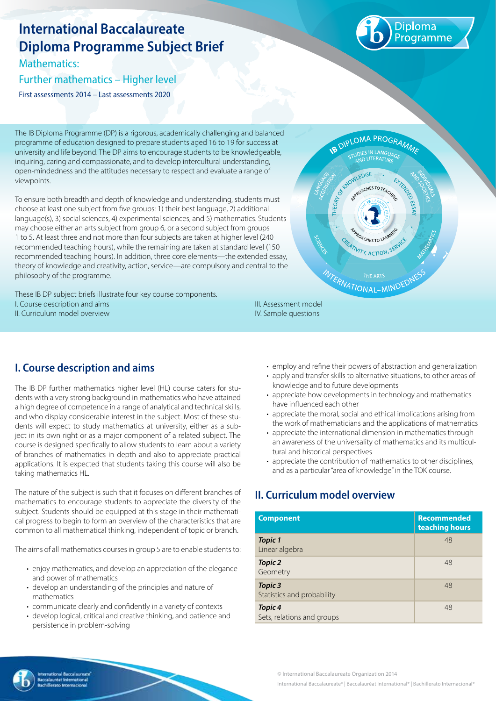# **International Baccalaureate Diploma Programme Subject Brief**

Mathematics:

Further mathematics – Higher level

First assessments 2014 – Last assessments 2020



The IB Diploma Programme (DP) is a rigorous, academically challenging and balanced programme of education designed to prepare students aged 16 to 19 for success at university and life beyond. The DP aims to encourage students to be knowledgeable, inquiring, caring and compassionate, and to develop intercultural understanding, open-mindedness and the attitudes necessary to respect and evaluate a range of viewpoints.

To ensure both breadth and depth of knowledge and understanding, students must choose at least one subject from five groups: 1) their best language, 2) additional language(s), 3) social sciences, 4) experimental sciences, and 5) mathematics. Students may choose either an arts subject from group 6, or a second subject from groups 1 to 5. At least three and not more than four subjects are taken at higher level (240 recommended teaching hours), while the remaining are taken at standard level (150 recommended teaching hours). In addition, three core elements—the extended essay, theory of knowledge and creativity, action, service—are compulsory and central to the philosophy of the programme.

These IB DP subject briefs illustrate four key course components. I. Course description and aims II. Curriculum model overview



## **I. Course description and aims**

The IB DP further mathematics higher level (HL) course caters for students with a very strong background in mathematics who have attained a high degree of competence in a range of analytical and technical skills, and who display considerable interest in the subject. Most of these students will expect to study mathematics at university, either as a subject in its own right or as a major component of a related subject. The course is designed specifically to allow students to learn about a variety of branches of mathematics in depth and also to appreciate practical applications. It is expected that students taking this course will also be taking mathematics HL.

The nature of the subject is such that it focuses on different branches of mathematics to encourage students to appreciate the diversity of the subject. Students should be equipped at this stage in their mathematical progress to begin to form an overview of the characteristics that are common to all mathematical thinking, independent of topic or branch.

The aims of all mathematics courses in group 5 are to enable students to:

- enjoy mathematics, and develop an appreciation of the elegance and power of mathematics
- develop an understanding of the principles and nature of mathematics
- communicate clearly and confidently in a variety of contexts
- develop logical, critical and creative thinking, and patience and persistence in problem-solving

III. Assessment model IV. Sample questions

- employ and refine their powers of abstraction and generalization
- apply and transfer skills to alternative situations, to other areas of knowledge and to future developments
- appreciate how developments in technology and mathematics have influenced each other
- appreciate the moral, social and ethical implications arising from the work of mathematicians and the applications of mathematics
- appreciate the international dimension in mathematics through an awareness of the universality of mathematics and its multicultural and historical perspectives
- appreciate the contribution of mathematics to other disciplines, and as a particular "area of knowledge" in the TOK course.

# **II. Curriculum model overview**

| <b>Component</b>                             | <b>Recommended</b><br>teaching hours |
|----------------------------------------------|--------------------------------------|
| <b>Topic 1</b><br>Linear algebra             | 48                                   |
| <b>Topic 2</b><br>Geometry                   | 48                                   |
| <b>Topic 3</b><br>Statistics and probability | 48                                   |
| <b>Topic 4</b><br>Sets, relations and groups | 48                                   |